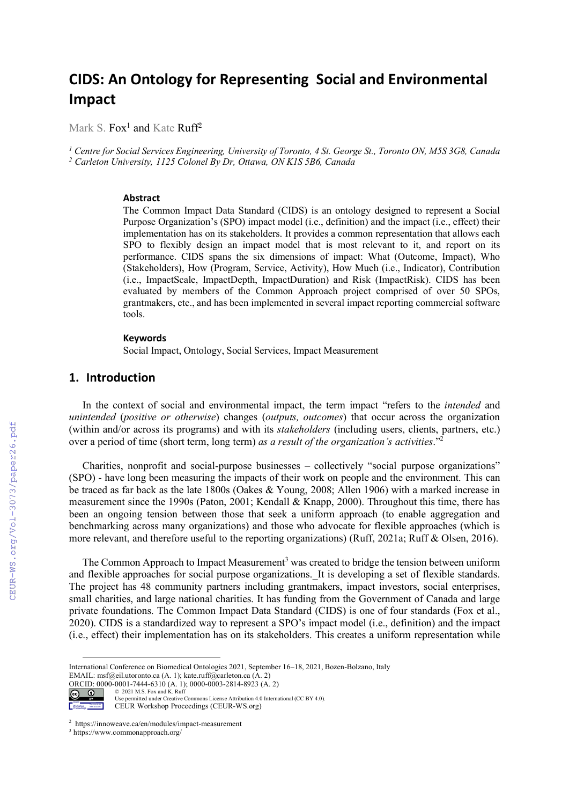# **CIDS: An Ontology for Representing Social and Environmental Impact**

Mark S. Fox<sup>1</sup> and Kate Ruff<sup>2</sup>

*<sup>1</sup> Centre for Social Services Engineering, University of Toronto, 4 St. George St., Toronto ON, M5S 3G8, Canada <sup>2</sup> Carleton University, 1125 Colonel By Dr, Ottawa, ON K1S 5B6, Canada*

#### **Abstract**

The Common Impact Data Standard (CIDS) is an ontology designed to represent a Social Purpose Organization's (SPO) impact model (i.e., definition) and the impact (i.e., effect) their implementation has on its stakeholders. It provides a common representation that allows each SPO to flexibly design an impact model that is most relevant to it, and report on its performance. CIDS spans the six dimensions of impact: What (Outcome, Impact), Who (Stakeholders), How (Program, Service, Activity), How Much (i.e., Indicator), Contribution (i.e., ImpactScale, ImpactDepth, ImpactDuration) and Risk (ImpactRisk). CIDS has been evaluated by members of the Common Approach project comprised of over 50 SPOs, grantmakers, etc., and has been implemented in several impact reporting commercial software tools.

#### **Keywords 1**

Social Impact, Ontology, Social Services, Impact Measurement

#### **1. Introduction**

In the context of social and environmental impact, the term impact "refers to the *intended* and *unintended* (*positive or otherwise*) changes (*outputs, outcomes*) that occur across the organization (within and/or across its programs) and with its *stakeholders* (including users, clients, partners, etc.) over a period of time (short term, long term) *as a result of the organization's activities*."2

Charities, nonprofit and social-purpose businesses – collectively "social purpose organizations" (SPO) - have long been measuring the impacts of their work on people and the environment. This can be traced as far back as the late 1800s (Oakes & Young, 2008; Allen 1906) with a marked increase in measurement since the 1990s (Paton, 2001; Kendall & Knapp, 2000). Throughout this time, there has been an ongoing tension between those that seek a uniform approach (to enable aggregation and benchmarking across many organizations) and those who advocate for flexible approaches (which is more relevant, and therefore useful to the reporting organizations) (Ruff, 2021a; Ruff & Olsen, 2016).

The Common Approach to Impact Measurement<sup>3</sup> was created to bridge the tension between uniform and flexible approaches for social purpose organizations. It is developing a set of flexible standards. The project has 48 community partners including grantmakers, impact investors, social enterprises, small charities, and large national charities. It has funding from the Government of Canada and large private foundations. The Common Impact Data Standard (CIDS) is one of four standards (Fox et al., 2020). CIDS is a standardized way to represent a SPO's impact model (i.e., definition) and the impact (i.e., effect) their implementation has on its stakeholders. This creates a uniform representation while

ORCID: 0000-0001-7444-6310 (A. 1); 0000-0003-2814-8923 (A. 2) © 2021 M.S. Fox and K. Ruff Use permitted under Creative Commons License Attribution 4.0 International (CC BY 4.0).

CEUR Workshop Proceedings

International Conference on Biomedical Ontologies 2021, September 16–18, 2021, Bozen-Bolzano, Italy EMAIL: msf@eil.utoronto.ca (A. 1); kate.ruff@carleton.ca (A. 2)

CEUR Workshop Proceedings (CEUR-WS.org)

<sup>2</sup> https://innoweave.ca/en/modules/impact-measurement

<sup>3</sup> https://www.commonapproach.org/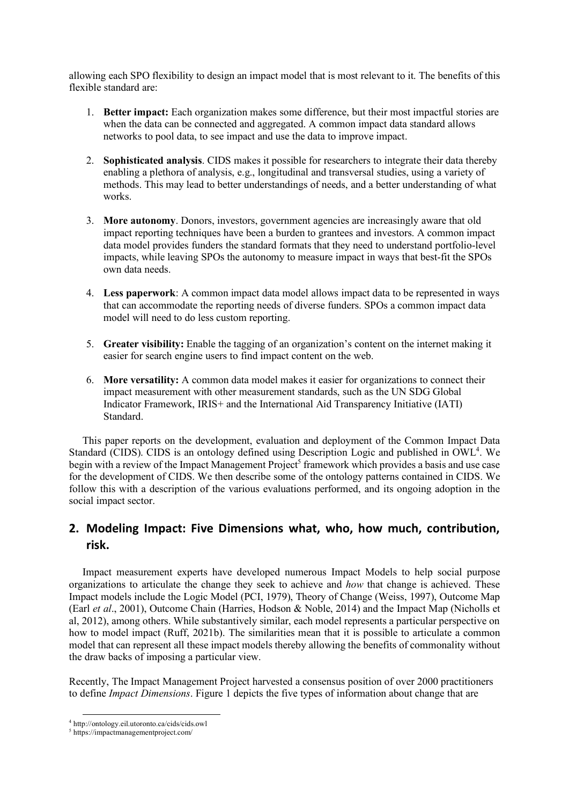allowing each SPO flexibility to design an impact model that is most relevant to it. The benefits of this flexible standard are:

- 1. **Better impact:** Each organization makes some difference, but their most impactful stories are when the data can be connected and aggregated. A common impact data standard allows networks to pool data, to see impact and use the data to improve impact.
- 2. **Sophisticated analysis**. CIDS makes it possible for researchers to integrate their data thereby enabling a plethora of analysis, e.g., longitudinal and transversal studies, using a variety of methods. This may lead to better understandings of needs, and a better understanding of what works.
- 3. **More autonomy**. Donors, investors, government agencies are increasingly aware that old impact reporting techniques have been a burden to grantees and investors. A common impact data model provides funders the standard formats that they need to understand portfolio-level impacts, while leaving SPOs the autonomy to measure impact in ways that best-fit the SPOs own data needs.
- 4. **Less paperwork**: A common impact data model allows impact data to be represented in ways that can accommodate the reporting needs of diverse funders. SPOs a common impact data model will need to do less custom reporting.
- 5. **Greater visibility:** Enable the tagging of an organization's content on the internet making it easier for search engine users to find impact content on the web.
- 6. **More versatility:** A common data model makes it easier for organizations to connect their impact measurement with other measurement standards, such as the UN SDG Global Indicator Framework, IRIS+ and the International Aid Transparency Initiative (IATI) Standard.

This paper reports on the development, evaluation and deployment of the Common Impact Data Standard (CIDS). CIDS is an ontology defined using Description Logic and published in OWL<sup>4</sup>. We begin with a review of the Impact Management Project<sup>5</sup> framework which provides a basis and use case for the development of CIDS. We then describe some of the ontology patterns contained in CIDS. We follow this with a description of the various evaluations performed, and its ongoing adoption in the social impact sector.

# **2. Modeling Impact: Five Dimensions what, who, how much, contribution, risk.**

Impact measurement experts have developed numerous Impact Models to help social purpose organizations to articulate the change they seek to achieve and *how* that change is achieved. These Impact models include the Logic Model (PCI, 1979), Theory of Change (Weiss, 1997), Outcome Map (Earl *et al*., 2001), Outcome Chain (Harries, Hodson & Noble, 2014) and the Impact Map (Nicholls et al, 2012), among others. While substantively similar, each model represents a particular perspective on how to model impact (Ruff, 2021b). The similarities mean that it is possible to articulate a common model that can represent all these impact models thereby allowing the benefits of commonality without the draw backs of imposing a particular view.

Recently, The Impact Management Project harvested a consensus position of over 2000 practitioners to define *Impact Dimensions*. Figure 1 depicts the five types of information about change that are

 <sup>4</sup> http://ontology.eil.utoronto.ca/cids/cids.owl

<sup>5</sup> https://impactmanagementproject.com/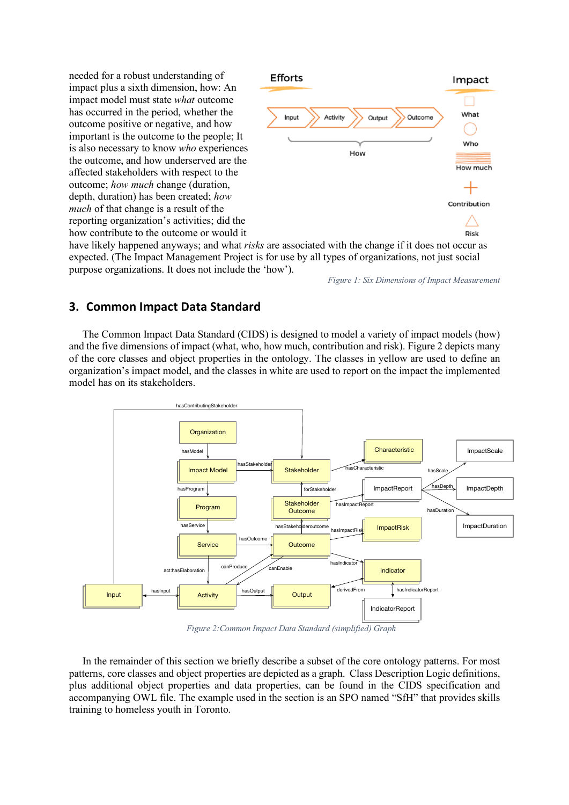needed for a robust understanding of impact plus a sixth dimension, how: An impact model must state *what* outcome has occurred in the period, whether the outcome positive or negative, and how important is the outcome to the people; It is also necessary to know *who* experiences the outcome, and how underserved are the affected stakeholders with respect to the outcome; *how much* change (duration, depth, duration) has been created; *how much* of that change is a result of the reporting organization's activities; did the how contribute to the outcome or would it



have likely happened anyways; and what *risks* are associated with the change if it does not occur as expected. (The Impact Management Project is for use by all types of organizations, not just social purpose organizations. It does not include the 'how').

*Figure 1: Six Dimensions of Impact Measurement*

#### **3. Common Impact Data Standard**

The Common Impact Data Standard (CIDS) is designed to model a variety of impact models (how) and the five dimensions of impact (what, who, how much, contribution and risk). Figure 2 depicts many of the core classes and object properties in the ontology. The classes in yellow are used to define an organization's impact model, and the classes in white are used to report on the impact the implemented model has on its stakeholders.



*Figure 2:Common Impact Data Standard (simplified) Graph*

In the remainder of this section we briefly describe a subset of the core ontology patterns. For most patterns, core classes and object properties are depicted as a graph. Class Description Logic definitions, plus additional object properties and data properties, can be found in the CIDS specification and accompanying OWL file. The example used in the section is an SPO named "SfH" that provides skills training to homeless youth in Toronto.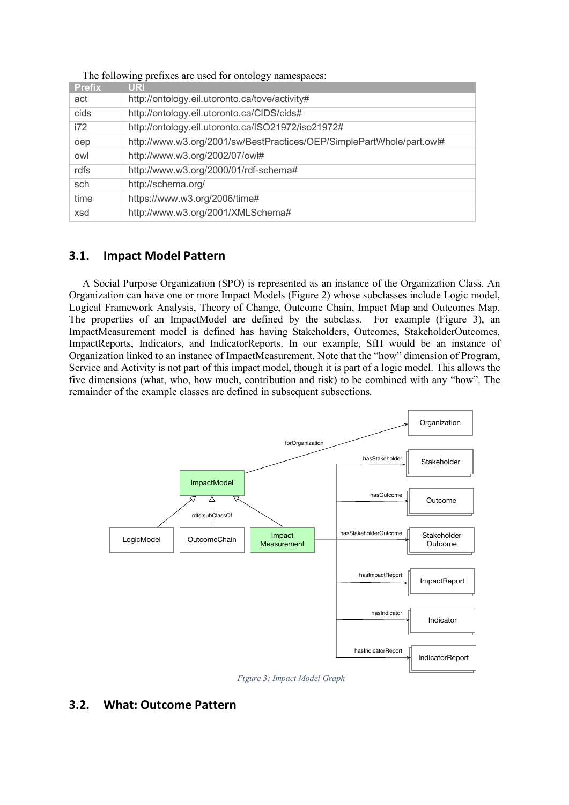| <b>Prefix</b> | <b>URI</b>                                                            |
|---------------|-----------------------------------------------------------------------|
| act           | http://ontology.eil.utoronto.ca/tove/activity#                        |
| cids          | http://ontology.eil.utoronto.ca/CIDS/cids#                            |
| i72           | http://ontology.eil.utoronto.ca/ISO21972/iso21972#                    |
| oep           | http://www.w3.org/2001/sw/BestPractices/OEP/SimplePartWhole/part.owl# |
| owl           | http://www.w3.org/2002/07/owl#                                        |
| rdfs          | http://www.w3.org/2000/01/rdf-schema#                                 |
| sch           | http://schema.org/                                                    |
| time          | https://www.w3.org/2006/time#                                         |
| xsd           | http://www.w3.org/2001/XMLSchema#                                     |

#### The following prefixes are used for ontology namespaces:

### **3.1. Impact Model Pattern**

A Social Purpose Organization (SPO) is represented as an instance of the Organization Class. An Organization can have one or more Impact Models (Figure 2) whose subclasses include Logic model, Logical Framework Analysis, Theory of Change, Outcome Chain, Impact Map and Outcomes Map. The properties of an ImpactModel are defined by the subclass. For example (Figure 3), an ImpactMeasurement model is defined has having Stakeholders, Outcomes, StakeholderOutcomes, ImpactReports, Indicators, and IndicatorReports. In our example, SfH would be an instance of Organization linked to an instance of ImpactMeasurement. Note that the "how" dimension of Program, Service and Activity is not part of this impact model, though it is part of a logic model. This allows the five dimensions (what, who, how much, contribution and risk) to be combined with any "how". The remainder of the example classes are defined in subsequent subsections.



*Figure 3: Impact Model Graph*

#### **3.2. What: Outcome Pattern**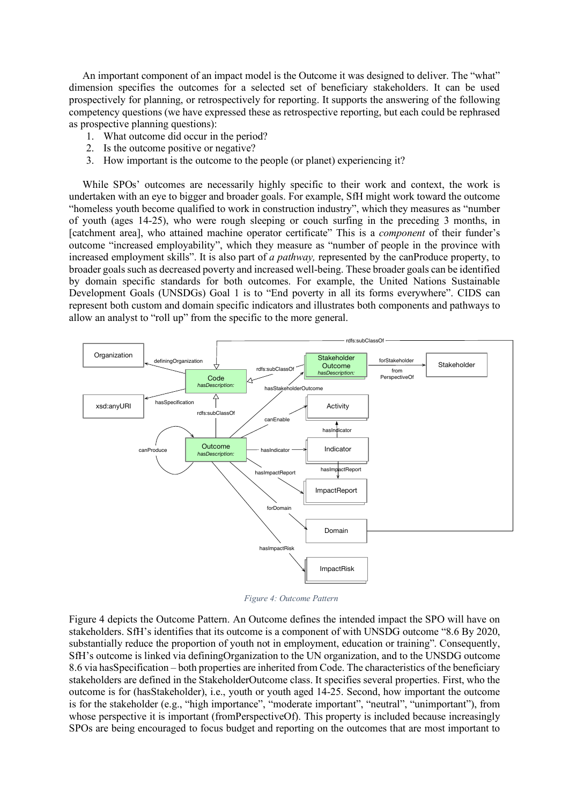An important component of an impact model is the Outcome it was designed to deliver. The "what" dimension specifies the outcomes for a selected set of beneficiary stakeholders. It can be used prospectively for planning, or retrospectively for reporting. It supports the answering of the following competency questions (we have expressed these as retrospective reporting, but each could be rephrased as prospective planning questions):

- 1. What outcome did occur in the period?
- 2. Is the outcome positive or negative?
- 3. How important is the outcome to the people (or planet) experiencing it?

While SPOs' outcomes are necessarily highly specific to their work and context, the work is undertaken with an eye to bigger and broader goals. For example, SfH might work toward the outcome "homeless youth become qualified to work in construction industry", which they measures as "number of youth (ages 14-25), who were rough sleeping or couch surfing in the preceding 3 months, in [catchment area], who attained machine operator certificate" This is a *component* of their funder's outcome "increased employability", which they measure as "number of people in the province with increased employment skills". It is also part of *a pathway,* represented by the canProduce property, to broader goals such as decreased poverty and increased well-being. These broader goals can be identified by domain specific standards for both outcomes. For example, the United Nations Sustainable Development Goals (UNSDGs) Goal 1 is to "End poverty in all its forms everywhere". CIDS can represent both custom and domain specific indicators and illustrates both components and pathways to allow an analyst to "roll up" from the specific to the more general.



*Figure 4: Outcome Pattern*

Figure 4 depicts the Outcome Pattern. An Outcome defines the intended impact the SPO will have on stakeholders. SfH's identifies that its outcome is a component of with UNSDG outcome "8.6 By 2020, substantially reduce the proportion of youth not in employment, education or training". Consequently, SfH's outcome is linked via definingOrganization to the UN organization, and to the UNSDG outcome 8.6 via hasSpecification – both properties are inherited from Code. The characteristics of the beneficiary stakeholders are defined in the StakeholderOutcome class. It specifies several properties. First, who the outcome is for (hasStakeholder), i.e., youth or youth aged 14-25. Second, how important the outcome is for the stakeholder (e.g., "high importance", "moderate important", "neutral", "unimportant"), from whose perspective it is important (fromPerspectiveOf). This property is included because increasingly SPOs are being encouraged to focus budget and reporting on the outcomes that are most important to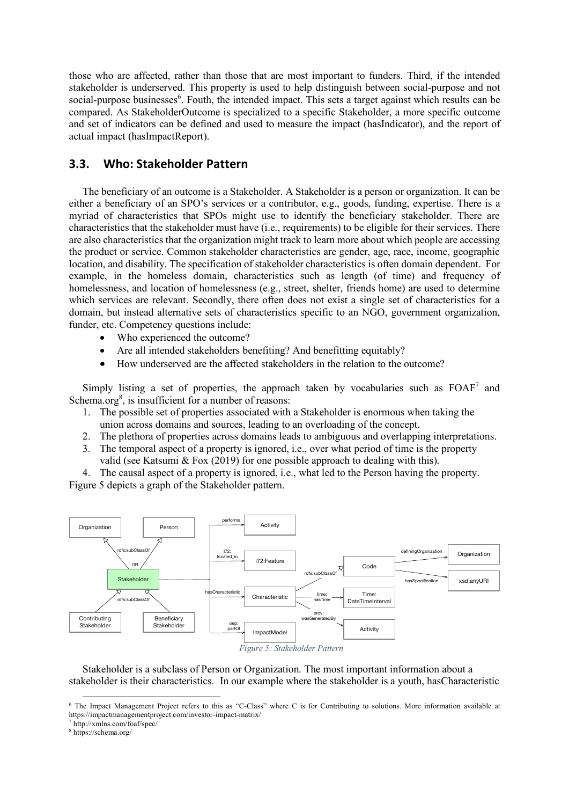those who are affected, rather than those that are most important to funders. Third, if the intended stakeholder is underserved. This property is used to help distinguish between social-purpose and not social-purpose businesses<sup>6</sup>. Fouth, the intended impact. This sets a target against which results can be compared. As StakeholderOutcome is specialized to a specific Stakeholder, a more specific outcome and set of indicators can be defined and used to measure the impact (hasIndicator), and the report of actual impact (hasImpactReport).

#### **3.3. Who: Stakeholder Pattern**

The beneficiary of an outcome is a Stakeholder. A Stakeholder is a person or organization. It can be either a beneficiary of an SPO's services or a contributor, e.g., goods, funding, expertise. There is a myriad of characteristics that SPOs might use to identify the beneficiary stakeholder. There are characteristics that the stakeholder must have (i.e., requirements) to be eligible for their services. There are also characteristics that the organization might track to learn more about which people are accessing the product or service. Common stakeholder characteristics are gender, age, race, income, geographic location, and disability. The specification of stakeholder characteristics is often domain dependent. For example, in the homeless domain, characteristics such as length (of time) and frequency of homelessness, and location of homelessness (e.g., street, shelter, friends home) are used to determine which services are relevant. Secondly, there often does not exist a single set of characteristics for a domain, but instead alternative sets of characteristics specific to an NGO, government organization, funder, etc. Competency questions include:

- Who experienced the outcome?
- Are all intended stakeholders benefiting? And benefitting equitably?
- How underserved are the affected stakeholders in the relation to the outcome?

Simply listing a set of properties, the approach taken by vocabularies such as  $FOAF<sup>7</sup>$  and Schema.org<sup>8</sup>, is insufficient for a number of reasons:

- 1. The possible set of properties associated with a Stakeholder is enormous when taking the union across domains and sources, leading to an overloading of the concept.
- 2. The plethora of properties across domains leads to ambiguous and overlapping interpretations.
- 3. The temporal aspect of a property is ignored, i.e., over what period of time is the property valid (see Katsumi  $& Fox (2019)$  for one possible approach to dealing with this).

4. The causal aspect of a property is ignored, i.e., what led to the Person having the property. Figure 5 depicts a graph of the Stakeholder pattern.



Stakeholder is a subclass of Person or Organization. The most important information about a stakeholder is their characteristics. In our example where the stakeholder is a youth, hasCharacteristic

<sup>7</sup> http://xmlns.com/foaf/spec/

<sup>&</sup>lt;sup>6</sup> The Impact Management Project refers to this as "C-Class" where C is for Contributing to solutions. More information available at https://impactmanagementproject.com/investor-impact-matrix/

<sup>8</sup> https://schema.org/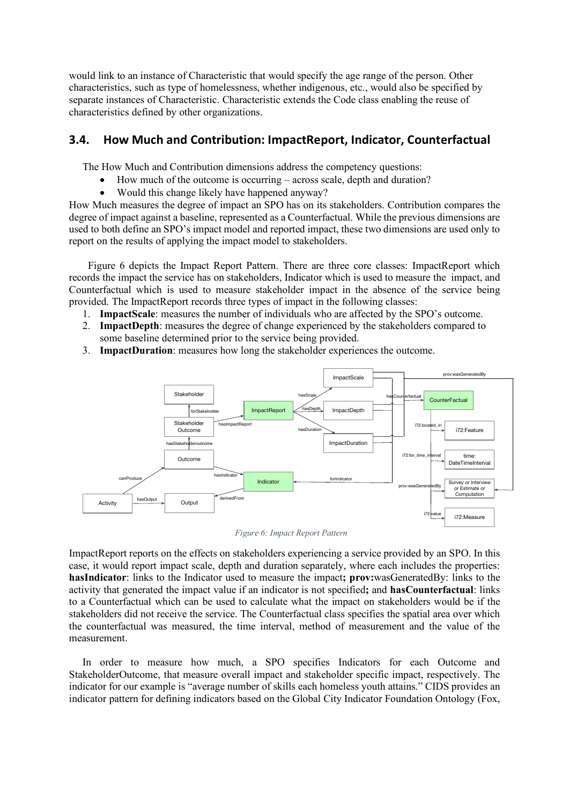would link to an instance of Characteristic that would specify the age range of the person. Other characteristics, such as type of homelessness, whether indigenous, etc., would also be specified by separate instances of Characteristic. Characteristic extends the Code class enabling the reuse of characteristics defined by other organizations.

## **3.4. How Much and Contribution: ImpactReport, Indicator, Counterfactual**

The How Much and Contribution dimensions address the competency questions:

- How much of the outcome is occurring across scale, depth and duration?
- Would this change likely have happened anyway?

How Much measures the degree of impact an SPO has on its stakeholders. Contribution compares the degree of impact against a baseline, represented as a Counterfactual. While the previous dimensions are used to both define an SPO's impact model and reported impact, these two dimensions are used only to report on the results of applying the impact model to stakeholders.

 Figure 6 depicts the Impact Report Pattern. There are three core classes: ImpactReport which records the impact the service has on stakeholders, Indicator which is used to measure the impact, and Counterfactual which is used to measure stakeholder impact in the absence of the service being provided. The ImpactReport records three types of impact in the following classes:

- 1. **ImpactScale**: measures the number of individuals who are affected by the SPO's outcome.
- 2. **ImpactDepth**: measures the degree of change experienced by the stakeholders compared to some baseline determined prior to the service being provided.
- 3. **ImpactDuration**: measures how long the stakeholder experiences the outcome.



*Figure 6: Impact Report Pattern*

ImpactReport reports on the effects on stakeholders experiencing a service provided by an SPO. In this case, it would report impact scale, depth and duration separately, where each includes the properties: **hasIndicator**: links to the Indicator used to measure the impact**; prov:**wasGeneratedBy: links to the activity that generated the impact value if an indicator is not specified**;** and **hasCounterfactual**: links to a Counterfactual which can be used to calculate what the impact on stakeholders would be if the stakeholders did not receive the service. The Counterfactual class specifies the spatial area over which the counterfactual was measured, the time interval, method of measurement and the value of the measurement.

In order to measure how much, a SPO specifies Indicators for each Outcome and StakeholderOutcome, that measure overall impact and stakeholder specific impact, respectively. The indicator for our example is "average number of skills each homeless youth attains." CIDS provides an indicator pattern for defining indicators based on the Global City Indicator Foundation Ontology (Fox,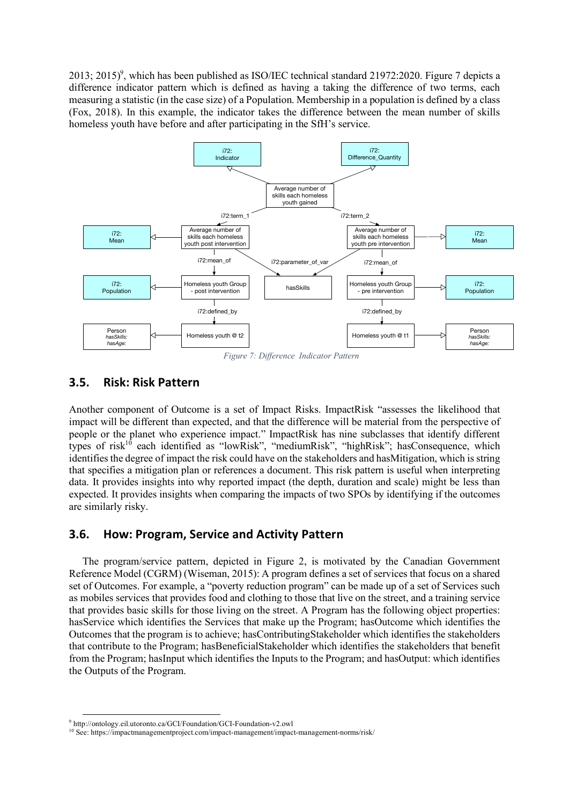2013; 2015)<sup>9</sup>, which has been published as ISO/IEC technical standard 21972:2020. Figure 7 depicts a difference indicator pattern which is defined as having a taking the difference of two terms, each measuring a statistic (in the case size) of a Population. Membership in a population is defined by a class (Fox, 2018). In this example, the indicator takes the difference between the mean number of skills homeless youth have before and after participating in the SfH's service.



*Figure 7: Difference Indicator Pattern*

### **3.5. Risk: Risk Pattern**

Another component of Outcome is a set of Impact Risks. ImpactRisk "assesses the likelihood that impact will be different than expected, and that the difference will be material from the perspective of people or the planet who experience impact." ImpactRisk has nine subclasses that identify different types of risk $10$  each identified as "lowRisk", "mediumRisk", "highRisk"; hasConsequence, which identifies the degree of impact the risk could have on the stakeholders and hasMitigation, which is string that specifies a mitigation plan or references a document. This risk pattern is useful when interpreting data. It provides insights into why reported impact (the depth, duration and scale) might be less than expected. It provides insights when comparing the impacts of two SPOs by identifying if the outcomes are similarly risky.

### **3.6. How: Program, Service and Activity Pattern**

The program/service pattern, depicted in Figure 2, is motivated by the Canadian Government Reference Model (CGRM) (Wiseman, 2015): A program defines a set of services that focus on a shared set of Outcomes. For example, a "poverty reduction program" can be made up of a set of Services such as mobiles services that provides food and clothing to those that live on the street, and a training service that provides basic skills for those living on the street. A Program has the following object properties: hasService which identifies the Services that make up the Program; hasOutcome which identifies the Outcomes that the program is to achieve; hasContributingStakeholder which identifies the stakeholders that contribute to the Program; hasBeneficialStakeholder which identifies the stakeholders that benefit from the Program; hasInput which identifies the Inputs to the Program; and hasOutput: which identifies the Outputs of the Program.

 <sup>9</sup> http://ontology.eil.utoronto.ca/GCI/Foundation/GCI-Foundation-v2.owl

<sup>&</sup>lt;sup>10</sup> See: https://impactmanagementproject.com/impact-management/impact-management-norms/risk/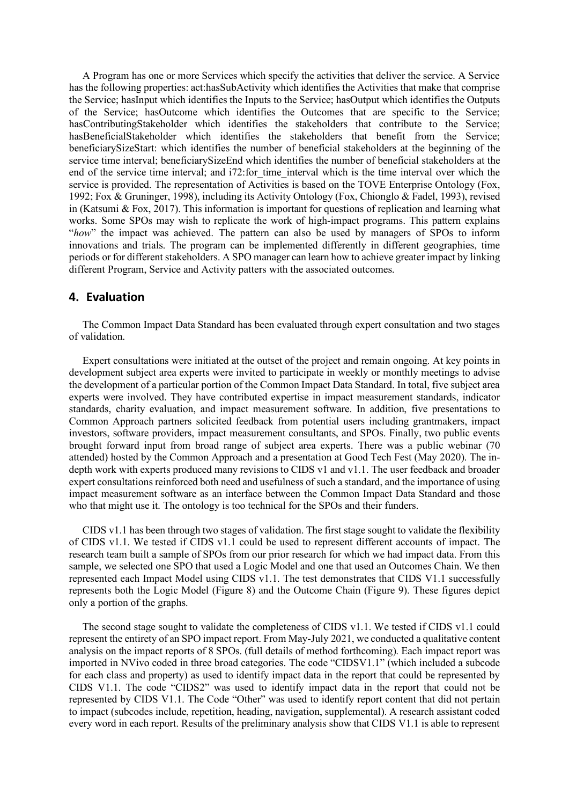A Program has one or more Services which specify the activities that deliver the service. A Service has the following properties: act:hasSubActivity which identifies the Activities that make that comprise the Service; hasInput which identifies the Inputs to the Service; hasOutput which identifies the Outputs of the Service; hasOutcome which identifies the Outcomes that are specific to the Service; hasContributingStakeholder which identifies the stakeholders that contribute to the Service; hasBeneficialStakeholder which identifies the stakeholders that benefit from the Service; beneficiarySizeStart: which identifies the number of beneficial stakeholders at the beginning of the service time interval; beneficiarySizeEnd which identifies the number of beneficial stakeholders at the end of the service time interval; and i72:for time interval which is the time interval over which the service is provided. The representation of Activities is based on the TOVE Enterprise Ontology (Fox, 1992; Fox & Gruninger, 1998), including its Activity Ontology (Fox, Chionglo & Fadel, 1993), revised in (Katsumi & Fox, 2017). This information is important for questions of replication and learning what works. Some SPOs may wish to replicate the work of high-impact programs. This pattern explains "*how*" the impact was achieved. The pattern can also be used by managers of SPOs to inform innovations and trials. The program can be implemented differently in different geographies, time periods or for different stakeholders. A SPO manager can learn how to achieve greater impact by linking different Program, Service and Activity patters with the associated outcomes.

#### **4. Evaluation**

The Common Impact Data Standard has been evaluated through expert consultation and two stages of validation.

Expert consultations were initiated at the outset of the project and remain ongoing. At key points in development subject area experts were invited to participate in weekly or monthly meetings to advise the development of a particular portion of the Common Impact Data Standard. In total, five subject area experts were involved. They have contributed expertise in impact measurement standards, indicator standards, charity evaluation, and impact measurement software. In addition, five presentations to Common Approach partners solicited feedback from potential users including grantmakers, impact investors, software providers, impact measurement consultants, and SPOs. Finally, two public events brought forward input from broad range of subject area experts. There was a public webinar (70 attended) hosted by the Common Approach and a presentation at Good Tech Fest (May 2020). The indepth work with experts produced many revisions to CIDS v1 and v1.1. The user feedback and broader expert consultations reinforced both need and usefulness of such a standard, and the importance of using impact measurement software as an interface between the Common Impact Data Standard and those who that might use it. The ontology is too technical for the SPOs and their funders.

CIDS v1.1 has been through two stages of validation. The first stage sought to validate the flexibility of CIDS v1.1. We tested if CIDS v1.1 could be used to represent different accounts of impact. The research team built a sample of SPOs from our prior research for which we had impact data. From this sample, we selected one SPO that used a Logic Model and one that used an Outcomes Chain. We then represented each Impact Model using CIDS v1.1. The test demonstrates that CIDS V1.1 successfully represents both the Logic Model (Figure 8) and the Outcome Chain (Figure 9). These figures depict only a portion of the graphs.

The second stage sought to validate the completeness of CIDS v1.1. We tested if CIDS v1.1 could represent the entirety of an SPO impact report. From May-July 2021, we conducted a qualitative content analysis on the impact reports of 8 SPOs. (full details of method forthcoming). Each impact report was imported in NVivo coded in three broad categories. The code "CIDSV1.1" (which included a subcode for each class and property) as used to identify impact data in the report that could be represented by CIDS V1.1. The code "CIDS2" was used to identify impact data in the report that could not be represented by CIDS V1.1. The Code "Other" was used to identify report content that did not pertain to impact (subcodes include, repetition, heading, navigation, supplemental). A research assistant coded every word in each report. Results of the preliminary analysis show that CIDS V1.1 is able to represent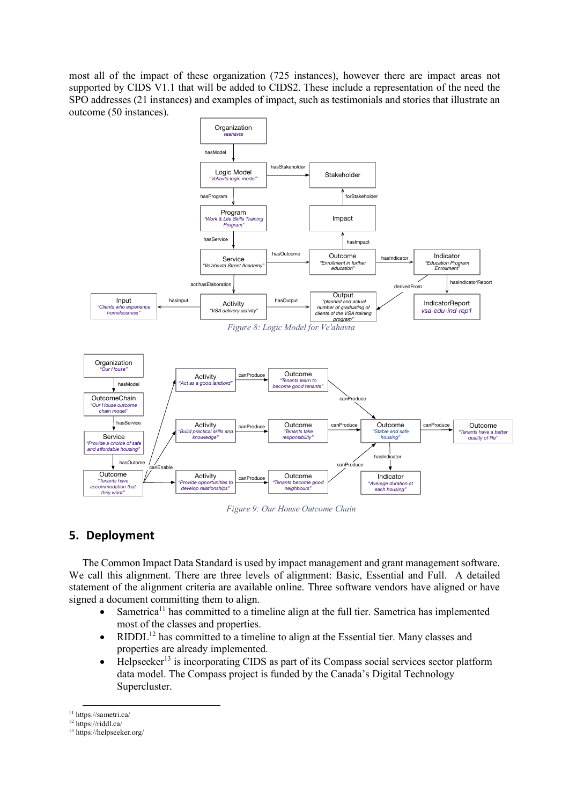most all of the impact of these organization (725 instances), however there are impact areas not supported by CIDS V1.1 that will be added to CIDS2. These include a representation of the need the SPO addresses (21 instances) and examples of impact, such as testimonials and stories that illustrate an outcome (50 instances).



*Figure 9: Our House Outcome Chain*

# **5. Deployment**

The Common Impact Data Standard is used by impact management and grant management software. We call this alignment. There are three levels of alignment: Basic, Essential and Full. A detailed statement of the alignment criteria are available online. Three software vendors have aligned or have signed a document committing them to align.

- Sametrica<sup>11</sup> has committed to a timeline align at the full tier. Sametrica has implemented most of the classes and properties.
- $RIDDL<sup>12</sup>$  has committed to a timeline to align at the Essential tier. Many classes and properties are already implemented.
- $\text{Helpseeker}^{13}$  is incorporating CIDS as part of its Compass social services sector platform data model. The Compass project is funded by the Canada's Digital Technology Supercluster.

 <sup>11</sup> https://sametri.ca/

<sup>12</sup> https://riddl.ca/

<sup>13</sup> https://helpseeker.org/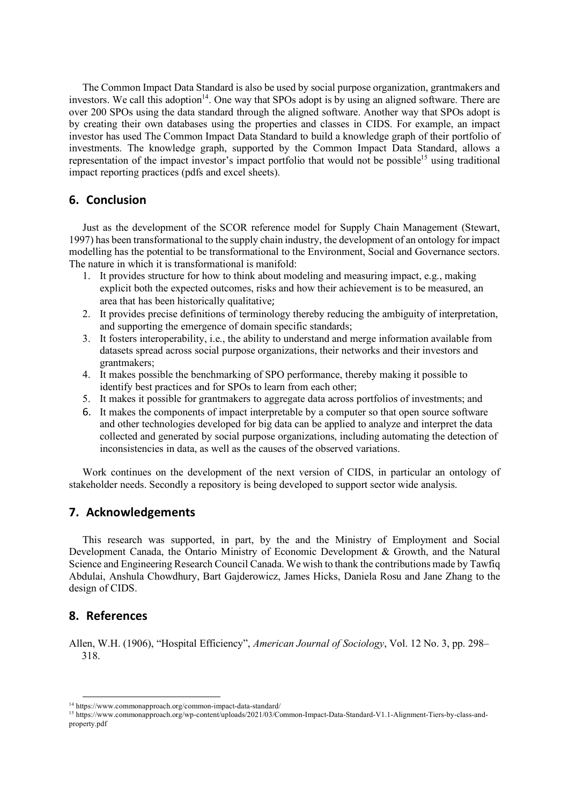The Common Impact Data Standard is also be used by social purpose organization, grantmakers and investors. We call this adoption<sup>14</sup>. One way that SPOs adopt is by using an aligned software. There are over 200 SPOs using the data standard through the aligned software. Another way that SPOs adopt is by creating their own databases using the properties and classes in CIDS. For example, an impact investor has used The Common Impact Data Standard to build a knowledge graph of their portfolio of investments. The knowledge graph, supported by the Common Impact Data Standard, allows a representation of the impact investor's impact portfolio that would not be possible<sup>15</sup> using traditional impact reporting practices (pdfs and excel sheets).

### **6. Conclusion**

Just as the development of the SCOR reference model for Supply Chain Management (Stewart, 1997) has been transformational to the supply chain industry, the development of an ontology for impact modelling has the potential to be transformational to the Environment, Social and Governance sectors. The nature in which it is transformational is manifold:

- 1. It provides structure for how to think about modeling and measuring impact, e.g., making explicit both the expected outcomes, risks and how their achievement is to be measured, an area that has been historically qualitative;
- 2. It provides precise definitions of terminology thereby reducing the ambiguity of interpretation, and supporting the emergence of domain specific standards;
- 3. It fosters interoperability, i.e., the ability to understand and merge information available from datasets spread across social purpose organizations, their networks and their investors and grantmakers;
- 4. It makes possible the benchmarking of SPO performance, thereby making it possible to identify best practices and for SPOs to learn from each other;
- 5. It makes it possible for grantmakers to aggregate data across portfolios of investments; and
- 6. It makes the components of impact interpretable by a computer so that open source software and other technologies developed for big data can be applied to analyze and interpret the data collected and generated by social purpose organizations, including automating the detection of inconsistencies in data, as well as the causes of the observed variations.

Work continues on the development of the next version of CIDS, in particular an ontology of stakeholder needs. Secondly a repository is being developed to support sector wide analysis.

#### **7. Acknowledgements**

This research was supported, in part, by the and the Ministry of Employment and Social Development Canada, the Ontario Ministry of Economic Development & Growth, and the Natural Science and Engineering Research Council Canada. We wish to thank the contributions made by Tawfiq Abdulai, Anshula Chowdhury, Bart Gajderowicz, James Hicks, Daniela Rosu and Jane Zhang to the design of CIDS.

#### **8. References**

Allen, W.H. (1906), "Hospital Efficiency", *American Journal of Sociology*, Vol. 12 No. 3, pp. 298– 318.

 <sup>14</sup> https://www.commonapproach.org/common-impact-data-standard/

<sup>15</sup> https://www.commonapproach.org/wp-content/uploads/2021/03/Common-Impact-Data-Standard-V1.1-Alignment-Tiers-by-class-andproperty.pdf